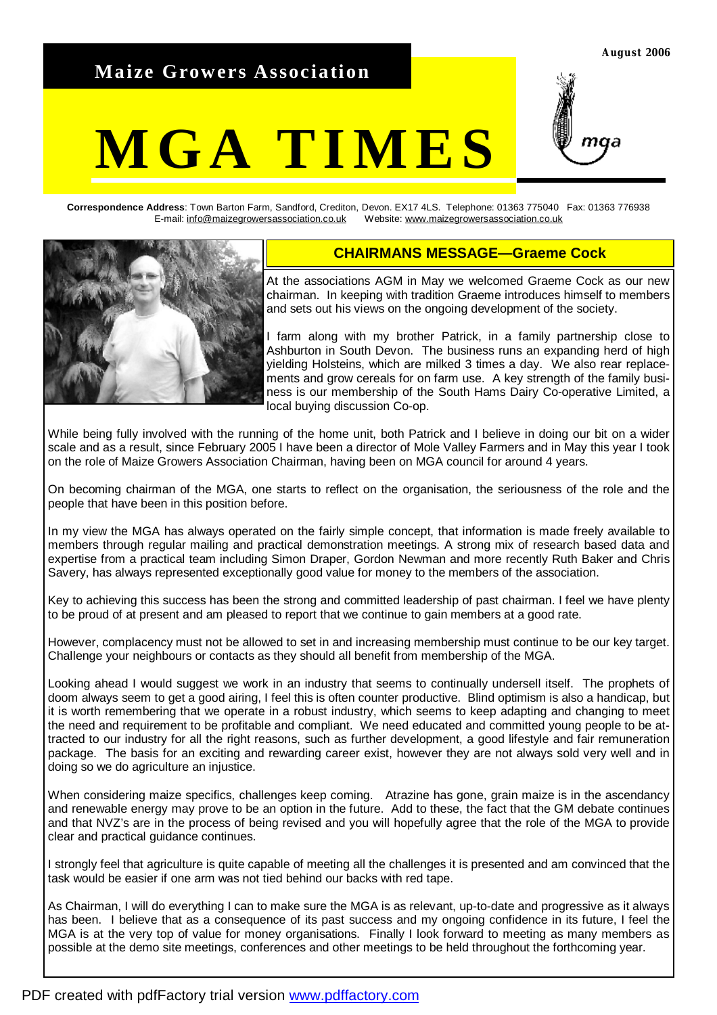## **Maize Growers Association**

# **MGA TIMES**



**Correspondence Address**: Town Barton Farm, Sandford, Crediton, Devon. EX17 4LS. Telephone: 01363 775040 Fax: 01363 776938 E-mail: [info@maizegrowersassociation.co.uk](mailto:info@maizegrowersassociation.co.uk) Website: [www.maizegrowersassociation.co.uk](http://www.maizegrowersassociation.co.uk)



## **CHAIRMANS MESSAGE—Graeme Cock**

At the associations AGM in May we welcomed Graeme Cock as our new chairman. In keeping with tradition Graeme introduces himself to members and sets out his views on the ongoing development of the society.

I farm along with my brother Patrick, in a family partnership close to Ashburton in South Devon. The business runs an expanding herd of high yielding Holsteins, which are milked 3 times a day. We also rear replacements and grow cereals for on farm use. A key strength of the family business is our membership of the South Hams Dairy Co-operative Limited, a local buying discussion Co-op.

While being fully involved with the running of the home unit, both Patrick and I believe in doing our bit on a wider scale and as a result, since February 2005 I have been a director of Mole Valley Farmers and in May this year I took on the role of Maize Growers Association Chairman, having been on MGA council for around 4 years.

On becoming chairman of the MGA, one starts to reflect on the organisation, the seriousness of the role and the people that have been in this position before.

In my view the MGA has always operated on the fairly simple concept, that information is made freely available to members through regular mailing and practical demonstration meetings. A strong mix of research based data and expertise from a practical team including Simon Draper, Gordon Newman and more recently Ruth Baker and Chris Savery, has always represented exceptionally good value for money to the members of the association.

Key to achieving this success has been the strong and committed leadership of past chairman. I feel we have plenty to be proud of at present and am pleased to report that we continue to gain members at a good rate.

However, complacency must not be allowed to set in and increasing membership must continue to be our key target. Challenge your neighbours or contacts as they should all benefit from membership of the MGA.

Looking ahead I would suggest we work in an industry that seems to continually undersell itself. The prophets of doom always seem to get a good airing, I feel this is often counter productive. Blind optimism is also a handicap, but it is worth remembering that we operate in a robust industry, which seems to keep adapting and changing to meet the need and requirement to be profitable and compliant. We need educated and committed young people to be attracted to our industry for all the right reasons, such as further development, a good lifestyle and fair remuneration package. The basis for an exciting and rewarding career exist, however they are not always sold very well and in doing so we do agriculture an injustice.

When considering maize specifics, challenges keep coming. Atrazine has gone, grain maize is in the ascendancy and renewable energy may prove to be an option in the future. Add to these, the fact that the GM debate continues and that NVZ's are in the process of being revised and you will hopefully agree that the role of the MGA to provide clear and practical guidance continues.

I strongly feel that agriculture is quite capable of meeting all the challenges it is presented and am convinced that the task would be easier if one arm was not tied behind our backs with red tape.

As Chairman, I will do everything I can to make sure the MGA is as relevant, up-to-date and progressive as it always has been. I believe that as a consequence of its past success and my ongoing confidence in its future. I feel the MGA is at the very top of value for money organisations. Finally I look forward to meeting as many members as possible at the demo site meetings, conferences and other meetings to be held throughout the forthcoming year.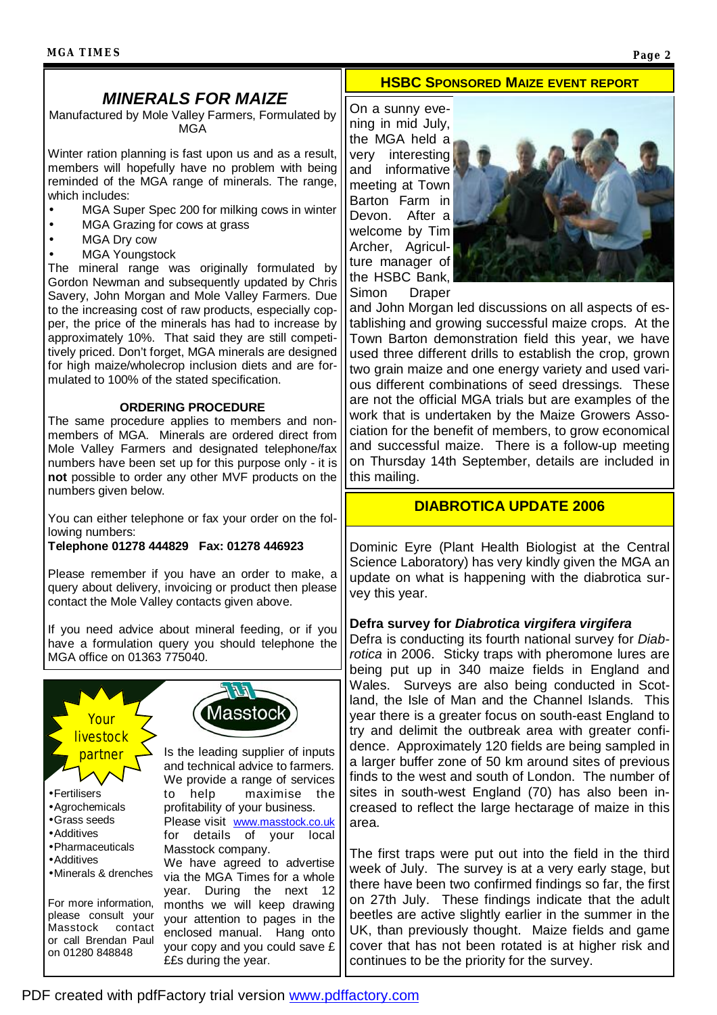## *MINERALS FOR MAIZE*

Manufactured by Mole Valley Farmers, Formulated by MGA

Winter ration planning is fast upon us and as a result, members will hopefully have no problem with being reminded of the MGA range of minerals. The range, which includes:

- MGA Super Spec 200 for milking cows in winter
- MGA Grazing for cows at grass
- MGA Dry cow
- **MGA Youngstock**

The mineral range was originally formulated by Gordon Newman and subsequently updated by Chris Savery, John Morgan and Mole Valley Farmers. Due to the increasing cost of raw products, especially copper, the price of the minerals has had to increase by approximately 10%. That said they are still competitively priced. Don't forget, MGA minerals are designed for high maize/wholecrop inclusion diets and are formulated to 100% of the stated specification.

#### **ORDERING PROCEDURE**

The same procedure applies to members and nonmembers of MGA. Minerals are ordered direct from Mole Valley Farmers and designated telephone/fax numbers have been set up for this purpose only - it is **not** possible to order any other MVF products on the numbers given below.

You can either telephone or fax your order on the following numbers:

#### **Telephone 01278 444829 Fax: 01278 446923**

Please remember if you have an order to make, a query about delivery, invoicing or product then please contact the Mole Valley contacts given above.

If you need advice about mineral feeding, or if you have a formulation query you should telephone the MGA office on 01363 775040.



#### **HSBC SPONSORED MAIZE EVENT REPORT**

On a sunny evening in mid July, the MGA held a very interesting and informative meeting at Town Barton Farm in Devon. After a welcome by Tim Archer, Agriculture manager of the HSBC Bank, Simon Draper



and John Morgan led discussions on all aspects of establishing and growing successful maize crops. At the Town Barton demonstration field this year, we have used three different drills to establish the crop, grown two grain maize and one energy variety and used various different combinations of seed dressings. These are not the official MGA trials but are examples of the work that is undertaken by the Maize Growers Association for the benefit of members, to grow economical and successful maize. There is a follow-up meeting on Thursday 14th September, details are included in this mailing.

#### **DIABROTICA UPDATE 2006**

Dominic Eyre (Plant Health Biologist at the Central Science Laboratory) has very kindly given the MGA an update on what is happening with the diabrotica survey this year.

#### **Defra survey for** *Diabrotica virgifera virgifera*

Defra is conducting its fourth national survey for *Diabrotica* in 2006. Sticky traps with pheromone lures are being put up in 340 maize fields in England and Wales. Surveys are also being conducted in Scotland, the Isle of Man and the Channel Islands. This year there is a greater focus on south-east England to try and delimit the outbreak area with greater confidence. Approximately 120 fields are being sampled in a larger buffer zone of 50 km around sites of previous finds to the west and south of London. The number of sites in south-west England (70) has also been increased to reflect the large hectarage of maize in this area.

The first traps were put out into the field in the third week of July. The survey is at a very early stage, but there have been two confirmed findings so far, the first on 27th July. These findings indicate that the adult beetles are active slightly earlier in the summer in the UK, than previously thought. Maize fields and game cover that has not been rotated is at higher risk and continues to be the priority for the survey.